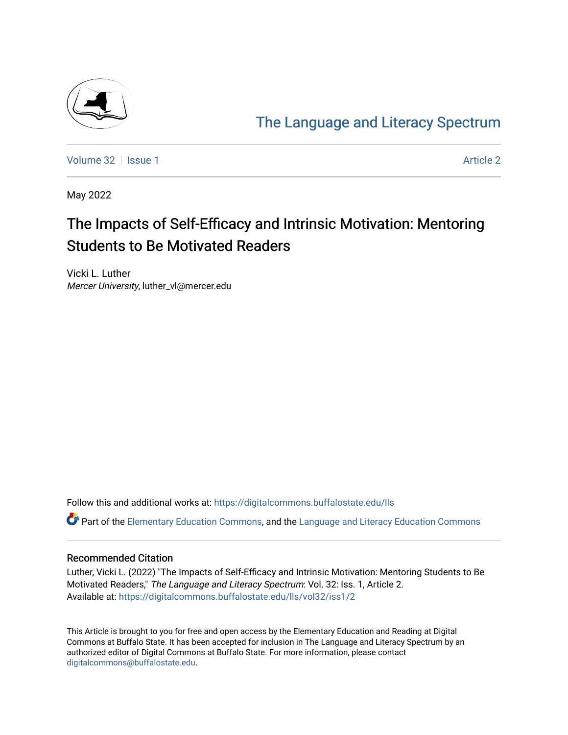

# [The Language and Literacy Spectrum](https://digitalcommons.buffalostate.edu/lls)

[Volume 32](https://digitalcommons.buffalostate.edu/lls/vol32) | [Issue 1](https://digitalcommons.buffalostate.edu/lls/vol32/iss1) [Article 2](https://digitalcommons.buffalostate.edu/lls/vol32/iss1/2) | Article 2 | Article 2 | Article 2 | Article 2 | Article 2 | Article 2 | Article 2 | Article 2 | Article 2 | Article 2 | Article 2 | Article 2 | Article 2 | Article 2 | Article 2 | Article 2

May 2022

# The Impacts of Self-Efficacy and Intrinsic Motivation: Mentoring Students to Be Motivated Readers

Vicki L. Luther Mercer University, luther\_vl@mercer.edu

Follow this and additional works at: [https://digitalcommons.buffalostate.edu/lls](https://digitalcommons.buffalostate.edu/lls?utm_source=digitalcommons.buffalostate.edu%2Flls%2Fvol32%2Fiss1%2F2&utm_medium=PDF&utm_campaign=PDFCoverPages)

Part of the [Elementary Education Commons,](https://network.bepress.com/hgg/discipline/1378?utm_source=digitalcommons.buffalostate.edu%2Flls%2Fvol32%2Fiss1%2F2&utm_medium=PDF&utm_campaign=PDFCoverPages) and the [Language and Literacy Education Commons](https://network.bepress.com/hgg/discipline/1380?utm_source=digitalcommons.buffalostate.edu%2Flls%2Fvol32%2Fiss1%2F2&utm_medium=PDF&utm_campaign=PDFCoverPages)

# Recommended Citation

Luther, Vicki L. (2022) "The Impacts of Self-Efficacy and Intrinsic Motivation: Mentoring Students to Be Motivated Readers," The Language and Literacy Spectrum: Vol. 32: Iss. 1, Article 2. Available at: [https://digitalcommons.buffalostate.edu/lls/vol32/iss1/2](https://digitalcommons.buffalostate.edu/lls/vol32/iss1/2?utm_source=digitalcommons.buffalostate.edu%2Flls%2Fvol32%2Fiss1%2F2&utm_medium=PDF&utm_campaign=PDFCoverPages) 

This Article is brought to you for free and open access by the Elementary Education and Reading at Digital Commons at Buffalo State. It has been accepted for inclusion in The Language and Literacy Spectrum by an authorized editor of Digital Commons at Buffalo State. For more information, please contact [digitalcommons@buffalostate.edu.](mailto:digitalcommons@buffalostate.edu)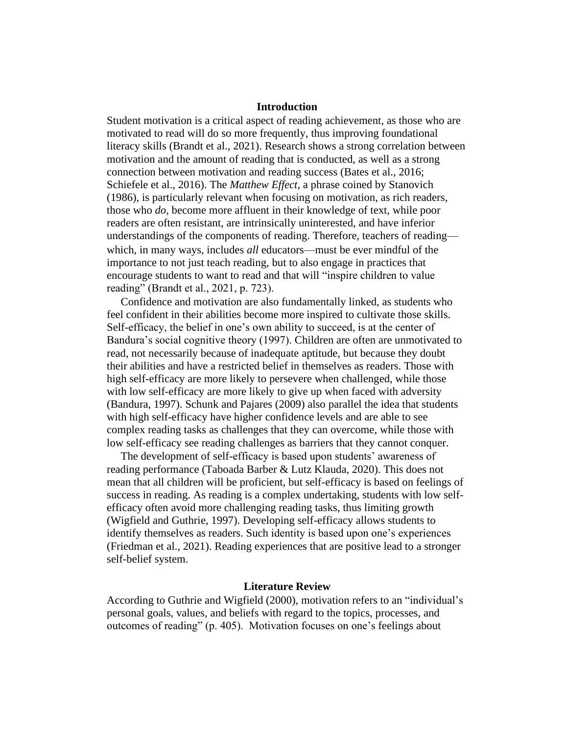## **Introduction**

Student motivation is a critical aspect of reading achievement, as those who are motivated to read will do so more frequently, thus improving foundational literacy skills (Brandt et al., 2021). Research shows a strong correlation between motivation and the amount of reading that is conducted, as well as a strong connection between motivation and reading success (Bates et al., 2016; Schiefele et al., 2016). The *Matthew Effect*, a phrase coined by Stanovich (1986), is particularly relevant when focusing on motivation, as rich readers, those who *do*, become more affluent in their knowledge of text, while poor readers are often resistant, are intrinsically uninterested, and have inferior understandings of the components of reading. Therefore, teachers of reading which, in many ways, includes *all* educators—must be ever mindful of the importance to not just teach reading, but to also engage in practices that encourage students to want to read and that will "inspire children to value reading" (Brandt et al., 2021, p. 723).

 Confidence and motivation are also fundamentally linked, as students who feel confident in their abilities become more inspired to cultivate those skills. Self-efficacy, the belief in one's own ability to succeed, is at the center of Bandura's social cognitive theory (1997). Children are often are unmotivated to read, not necessarily because of inadequate aptitude, but because they doubt their abilities and have a restricted belief in themselves as readers. Those with high self-efficacy are more likely to persevere when challenged, while those with low self-efficacy are more likely to give up when faced with adversity (Bandura, 1997). Schunk and Pajares (2009) also parallel the idea that students with high self-efficacy have higher confidence levels and are able to see complex reading tasks as challenges that they can overcome, while those with low self-efficacy see reading challenges as barriers that they cannot conquer.

 The development of self-efficacy is based upon students' awareness of reading performance (Taboada Barber & Lutz Klauda, 2020). This does not mean that all children will be proficient, but self-efficacy is based on feelings of success in reading. As reading is a complex undertaking, students with low selfefficacy often avoid more challenging reading tasks, thus limiting growth (Wigfield and Guthrie, 1997). Developing self-efficacy allows students to identify themselves as readers. Such identity is based upon one's experiences (Friedman et al., 2021). Reading experiences that are positive lead to a stronger self-belief system.

#### **Literature Review**

According to Guthrie and Wigfield (2000), motivation refers to an "individual's personal goals, values, and beliefs with regard to the topics, processes, and outcomes of reading" (p. 405). Motivation focuses on one's feelings about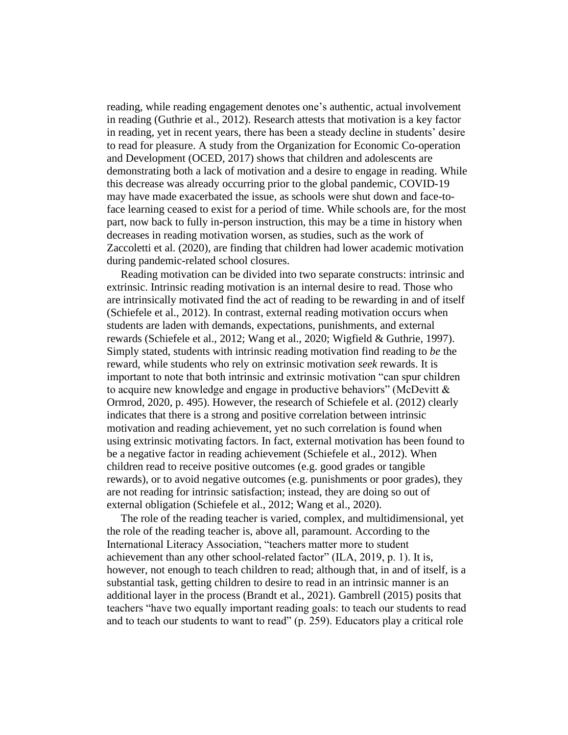reading, while reading engagement denotes one's authentic, actual involvement in reading (Guthrie et al., 2012). Research attests that motivation is a key factor in reading, yet in recent years, there has been a steady decline in students' desire to read for pleasure. A study from the Organization for Economic Co-operation and Development (OCED, 2017) shows that children and adolescents are demonstrating both a lack of motivation and a desire to engage in reading. While this decrease was already occurring prior to the global pandemic, COVID-19 may have made exacerbated the issue, as schools were shut down and face-toface learning ceased to exist for a period of time. While schools are, for the most part, now back to fully in-person instruction, this may be a time in history when decreases in reading motivation worsen, as studies, such as the work of Zaccoletti et al. (2020), are finding that children had lower academic motivation during pandemic-related school closures.

 Reading motivation can be divided into two separate constructs: intrinsic and extrinsic. Intrinsic reading motivation is an internal desire to read. Those who are intrinsically motivated find the act of reading to be rewarding in and of itself (Schiefele et al., 2012). In contrast, external reading motivation occurs when students are laden with demands, expectations, punishments, and external rewards (Schiefele et al., 2012; Wang et al., 2020; Wigfield & Guthrie, 1997). Simply stated, students with intrinsic reading motivation find reading to *be* the reward, while students who rely on extrinsic motivation *seek* rewards. It is important to note that both intrinsic and extrinsic motivation "can spur children to acquire new knowledge and engage in productive behaviors" (McDevitt & Ormrod, 2020, p. 495). However, the research of Schiefele et al. (2012) clearly indicates that there is a strong and positive correlation between intrinsic motivation and reading achievement, yet no such correlation is found when using extrinsic motivating factors. In fact, external motivation has been found to be a negative factor in reading achievement (Schiefele et al., 2012). When children read to receive positive outcomes (e.g. good grades or tangible rewards), or to avoid negative outcomes (e.g. punishments or poor grades), they are not reading for intrinsic satisfaction; instead, they are doing so out of external obligation (Schiefele et al., 2012; Wang et al., 2020).

 The role of the reading teacher is varied, complex, and multidimensional, yet the role of the reading teacher is, above all, paramount. According to the International Literacy Association, "teachers matter more to student achievement than any other school-related factor" (ILA, 2019, p. 1). It is, however, not enough to teach children to read; although that, in and of itself, is a substantial task, getting children to desire to read in an intrinsic manner is an additional layer in the process (Brandt et al., 2021). Gambrell (2015) posits that teachers "have two equally important reading goals: to teach our students to read and to teach our students to want to read" (p. 259). Educators play a critical role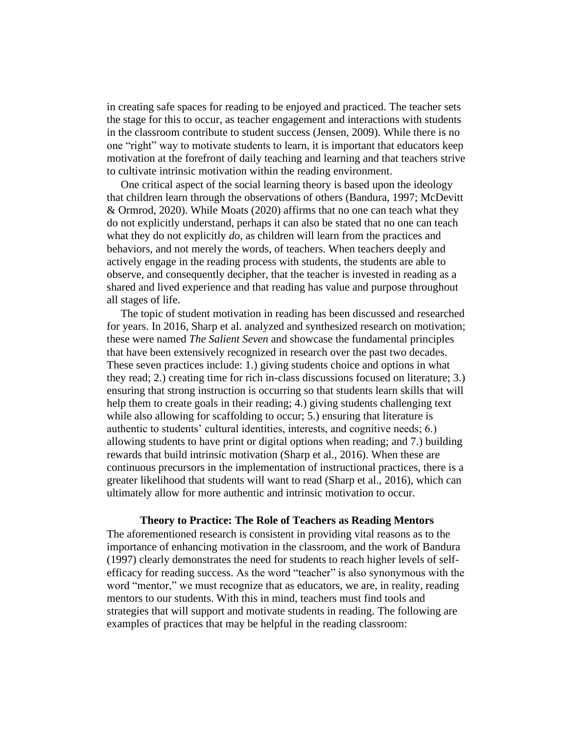in creating safe spaces for reading to be enjoyed and practiced. The teacher sets the stage for this to occur, as teacher engagement and interactions with students in the classroom contribute to student success (Jensen, 2009). While there is no one "right" way to motivate students to learn, it is important that educators keep motivation at the forefront of daily teaching and learning and that teachers strive to cultivate intrinsic motivation within the reading environment.

 One critical aspect of the social learning theory is based upon the ideology that children learn through the observations of others (Bandura, 1997; McDevitt & Ormrod, 2020). While Moats (2020) affirms that no one can teach what they do not explicitly understand, perhaps it can also be stated that no one can teach what they do not explicitly *do*, as children will learn from the practices and behaviors, and not merely the words, of teachers. When teachers deeply and actively engage in the reading process with students, the students are able to observe, and consequently decipher, that the teacher is invested in reading as a shared and lived experience and that reading has value and purpose throughout all stages of life.

 The topic of student motivation in reading has been discussed and researched for years. In 2016, Sharp et al. analyzed and synthesized research on motivation; these were named *The Salient Seven* and showcase the fundamental principles that have been extensively recognized in research over the past two decades. These seven practices include: 1.) giving students choice and options in what they read; 2.) creating time for rich in-class discussions focused on literature; 3.) ensuring that strong instruction is occurring so that students learn skills that will help them to create goals in their reading; 4.) giving students challenging text while also allowing for scaffolding to occur; 5.) ensuring that literature is authentic to students' cultural identities, interests, and cognitive needs; 6.) allowing students to have print or digital options when reading; and 7.) building rewards that build intrinsic motivation (Sharp et al., 2016). When these are continuous precursors in the implementation of instructional practices, there is a greater likelihood that students will want to read (Sharp et al., 2016), which can ultimately allow for more authentic and intrinsic motivation to occur.

#### **Theory to Practice: The Role of Teachers as Reading Mentors**

The aforementioned research is consistent in providing vital reasons as to the importance of enhancing motivation in the classroom, and the work of Bandura (1997) clearly demonstrates the need for students to reach higher levels of selfefficacy for reading success. As the word "teacher" is also synonymous with the word "mentor," we must recognize that as educators, we are, in reality, reading mentors to our students. With this in mind, teachers must find tools and strategies that will support and motivate students in reading. The following are examples of practices that may be helpful in the reading classroom: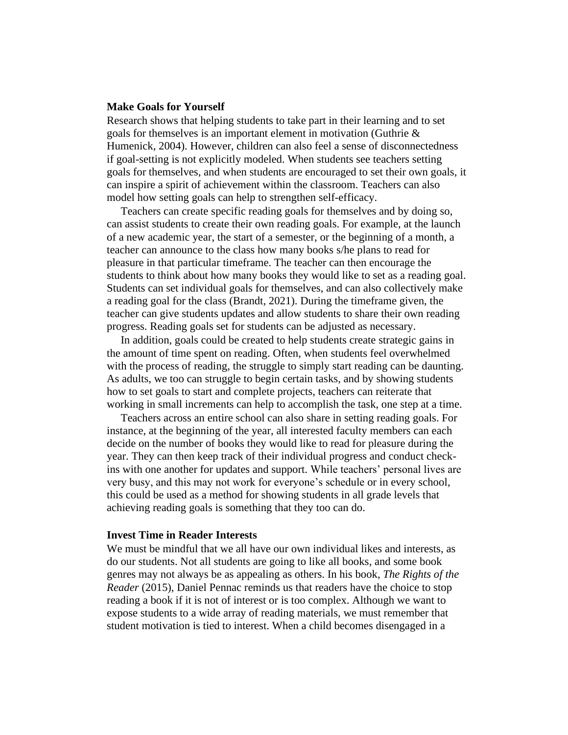#### **Make Goals for Yourself**

Research shows that helping students to take part in their learning and to set goals for themselves is an important element in motivation (Guthrie & Humenick, 2004). However, children can also feel a sense of disconnectedness if goal-setting is not explicitly modeled. When students see teachers setting goals for themselves, and when students are encouraged to set their own goals, it can inspire a spirit of achievement within the classroom. Teachers can also model how setting goals can help to strengthen self-efficacy.

 Teachers can create specific reading goals for themselves and by doing so, can assist students to create their own reading goals. For example, at the launch of a new academic year, the start of a semester, or the beginning of a month, a teacher can announce to the class how many books s/he plans to read for pleasure in that particular timeframe. The teacher can then encourage the students to think about how many books they would like to set as a reading goal. Students can set individual goals for themselves, and can also collectively make a reading goal for the class (Brandt, 2021). During the timeframe given, the teacher can give students updates and allow students to share their own reading progress. Reading goals set for students can be adjusted as necessary.

 In addition, goals could be created to help students create strategic gains in the amount of time spent on reading. Often, when students feel overwhelmed with the process of reading, the struggle to simply start reading can be daunting. As adults, we too can struggle to begin certain tasks, and by showing students how to set goals to start and complete projects, teachers can reiterate that working in small increments can help to accomplish the task, one step at a time.

 Teachers across an entire school can also share in setting reading goals. For instance, at the beginning of the year, all interested faculty members can each decide on the number of books they would like to read for pleasure during the year. They can then keep track of their individual progress and conduct checkins with one another for updates and support. While teachers' personal lives are very busy, and this may not work for everyone's schedule or in every school, this could be used as a method for showing students in all grade levels that achieving reading goals is something that they too can do.

#### **Invest Time in Reader Interests**

We must be mindful that we all have our own individual likes and interests, as do our students. Not all students are going to like all books, and some book genres may not always be as appealing as others. In his book, *The Rights of the Reader* (2015), Daniel Pennac reminds us that readers have the choice to stop reading a book if it is not of interest or is too complex. Although we want to expose students to a wide array of reading materials, we must remember that student motivation is tied to interest. When a child becomes disengaged in a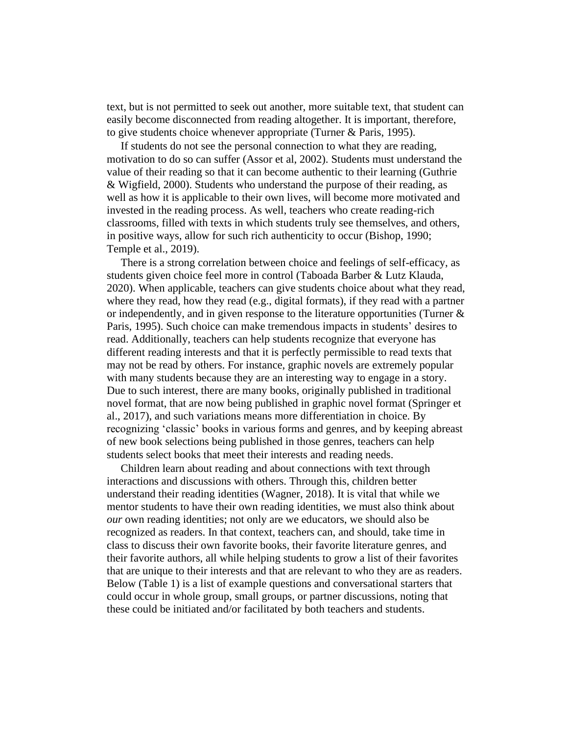text, but is not permitted to seek out another, more suitable text, that student can easily become disconnected from reading altogether. It is important, therefore, to give students choice whenever appropriate (Turner & Paris, 1995).

 If students do not see the personal connection to what they are reading, motivation to do so can suffer (Assor et al, 2002). Students must understand the value of their reading so that it can become authentic to their learning (Guthrie & Wigfield, 2000). Students who understand the purpose of their reading, as well as how it is applicable to their own lives, will become more motivated and invested in the reading process. As well, teachers who create reading-rich classrooms, filled with texts in which students truly see themselves, and others, in positive ways, allow for such rich authenticity to occur (Bishop, 1990; Temple et al., 2019).

 There is a strong correlation between choice and feelings of self-efficacy, as students given choice feel more in control (Taboada Barber & Lutz Klauda, 2020). When applicable, teachers can give students choice about what they read, where they read, how they read (e.g., digital formats), if they read with a partner or independently, and in given response to the literature opportunities (Turner & Paris, 1995). Such choice can make tremendous impacts in students' desires to read. Additionally, teachers can help students recognize that everyone has different reading interests and that it is perfectly permissible to read texts that may not be read by others. For instance, graphic novels are extremely popular with many students because they are an interesting way to engage in a story. Due to such interest, there are many books, originally published in traditional novel format, that are now being published in graphic novel format (Springer et al., 2017), and such variations means more differentiation in choice. By recognizing 'classic' books in various forms and genres, and by keeping abreast of new book selections being published in those genres, teachers can help students select books that meet their interests and reading needs.

 Children learn about reading and about connections with text through interactions and discussions with others. Through this, children better understand their reading identities (Wagner, 2018). It is vital that while we mentor students to have their own reading identities, we must also think about *our* own reading identities; not only are we educators, we should also be recognized as readers. In that context, teachers can, and should, take time in class to discuss their own favorite books, their favorite literature genres, and their favorite authors, all while helping students to grow a list of their favorites that are unique to their interests and that are relevant to who they are as readers. Below (Table 1) is a list of example questions and conversational starters that could occur in whole group, small groups, or partner discussions, noting that these could be initiated and/or facilitated by both teachers and students.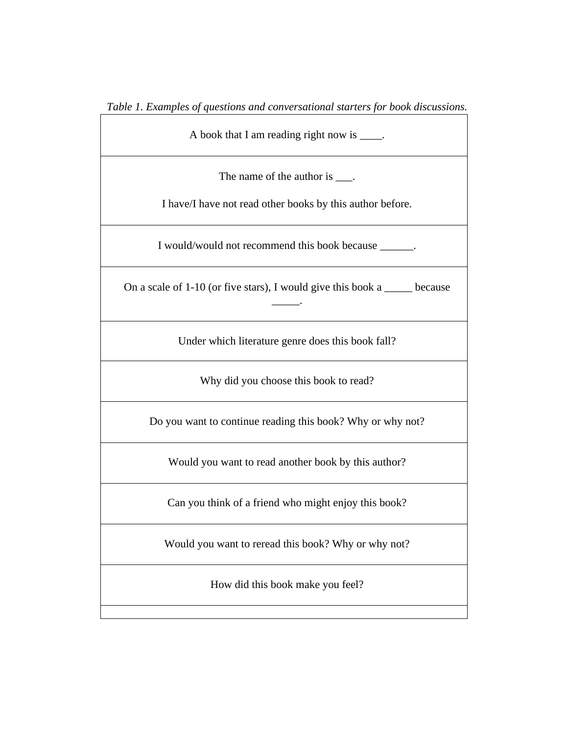*Table 1. Examples of questions and conversational starters for book discussions.*

A book that I am reading right now is \_\_\_\_.

The name of the author is  $\frac{1}{\sqrt{2}}$ .

I have/I have not read other books by this author before.

I would/would not recommend this book because \_\_\_\_\_\_.

On a scale of 1-10 (or five stars), I would give this book a \_\_\_\_\_ because \_\_\_\_\_.

Under which literature genre does this book fall?

Why did you choose this book to read?

Do you want to continue reading this book? Why or why not?

Would you want to read another book by this author?

Can you think of a friend who might enjoy this book?

Would you want to reread this book? Why or why not?

How did this book make you feel?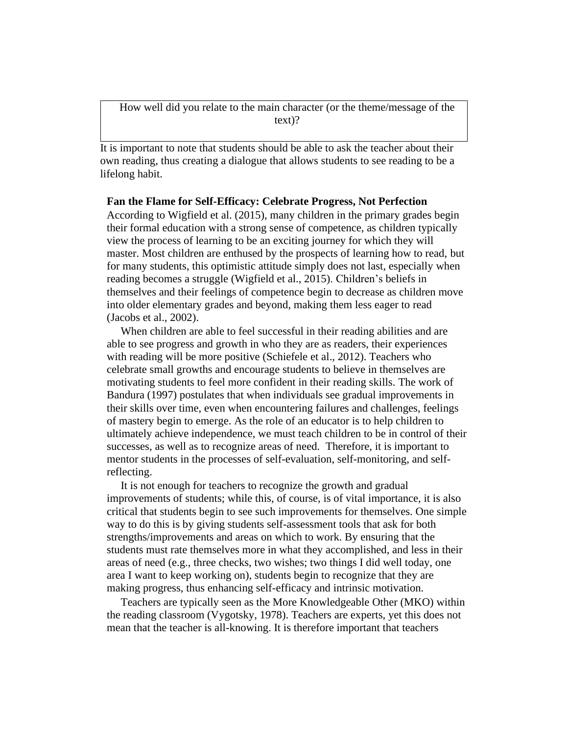How well did you relate to the main character (or the theme/message of the text)?

It is important to note that students should be able to ask the teacher about their own reading, thus creating a dialogue that allows students to see reading to be a lifelong habit.

#### **Fan the Flame for Self-Efficacy: Celebrate Progress, Not Perfection**

According to Wigfield et al. (2015), many children in the primary grades begin their formal education with a strong sense of competence, as children typically view the process of learning to be an exciting journey for which they will master. Most children are enthused by the prospects of learning how to read, but for many students, this optimistic attitude simply does not last, especially when reading becomes a struggle (Wigfield et al., 2015). Children's beliefs in themselves and their feelings of competence begin to decrease as children move into older elementary grades and beyond, making them less eager to read (Jacobs et al., 2002).

 When children are able to feel successful in their reading abilities and are able to see progress and growth in who they are as readers, their experiences with reading will be more positive (Schiefele et al., 2012). Teachers who celebrate small growths and encourage students to believe in themselves are motivating students to feel more confident in their reading skills. The work of Bandura (1997) postulates that when individuals see gradual improvements in their skills over time, even when encountering failures and challenges, feelings of mastery begin to emerge. As the role of an educator is to help children to ultimately achieve independence, we must teach children to be in control of their successes, as well as to recognize areas of need. Therefore, it is important to mentor students in the processes of self-evaluation, self-monitoring, and selfreflecting.

 It is not enough for teachers to recognize the growth and gradual improvements of students; while this, of course, is of vital importance, it is also critical that students begin to see such improvements for themselves. One simple way to do this is by giving students self-assessment tools that ask for both strengths/improvements and areas on which to work. By ensuring that the students must rate themselves more in what they accomplished, and less in their areas of need (e.g., three checks, two wishes; two things I did well today, one area I want to keep working on), students begin to recognize that they are making progress, thus enhancing self-efficacy and intrinsic motivation.

 Teachers are typically seen as the More Knowledgeable Other (MKO) within the reading classroom (Vygotsky, 1978). Teachers are experts, yet this does not mean that the teacher is all-knowing. It is therefore important that teachers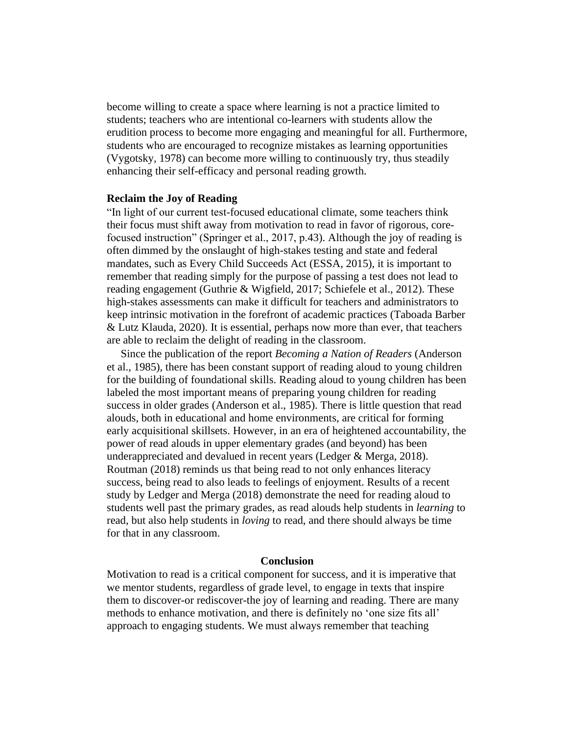become willing to create a space where learning is not a practice limited to students; teachers who are intentional co-learners with students allow the erudition process to become more engaging and meaningful for all. Furthermore, students who are encouraged to recognize mistakes as learning opportunities (Vygotsky, 1978) can become more willing to continuously try, thus steadily enhancing their self-efficacy and personal reading growth.

#### **Reclaim the Joy of Reading**

"In light of our current test-focused educational climate, some teachers think their focus must shift away from motivation to read in favor of rigorous, corefocused instruction" (Springer et al., 2017, p.43). Although the joy of reading is often dimmed by the onslaught of high-stakes testing and state and federal mandates, such as Every Child Succeeds Act (ESSA, 2015), it is important to remember that reading simply for the purpose of passing a test does not lead to reading engagement (Guthrie & Wigfield, 2017; Schiefele et al., 2012). These high-stakes assessments can make it difficult for teachers and administrators to keep intrinsic motivation in the forefront of academic practices (Taboada Barber & Lutz Klauda, 2020). It is essential, perhaps now more than ever, that teachers are able to reclaim the delight of reading in the classroom.

 Since the publication of the report *Becoming a Nation of Readers* (Anderson et al., 1985), there has been constant support of reading aloud to young children for the building of foundational skills. Reading aloud to young children has been labeled the most important means of preparing young children for reading success in older grades (Anderson et al., 1985). There is little question that read alouds, both in educational and home environments, are critical for forming early acquisitional skillsets. However, in an era of heightened accountability, the power of read alouds in upper elementary grades (and beyond) has been underappreciated and devalued in recent years (Ledger & Merga, 2018). Routman (2018) reminds us that being read to not only enhances literacy success, being read to also leads to feelings of enjoyment. Results of a recent study by Ledger and Merga (2018) demonstrate the need for reading aloud to students well past the primary grades, as read alouds help students in *learning* to read, but also help students in *loving* to read, and there should always be time for that in any classroom.

## **Conclusion**

Motivation to read is a critical component for success, and it is imperative that we mentor students, regardless of grade level, to engage in texts that inspire them to discover-or rediscover-the joy of learning and reading. There are many methods to enhance motivation, and there is definitely no 'one size fits all' approach to engaging students. We must always remember that teaching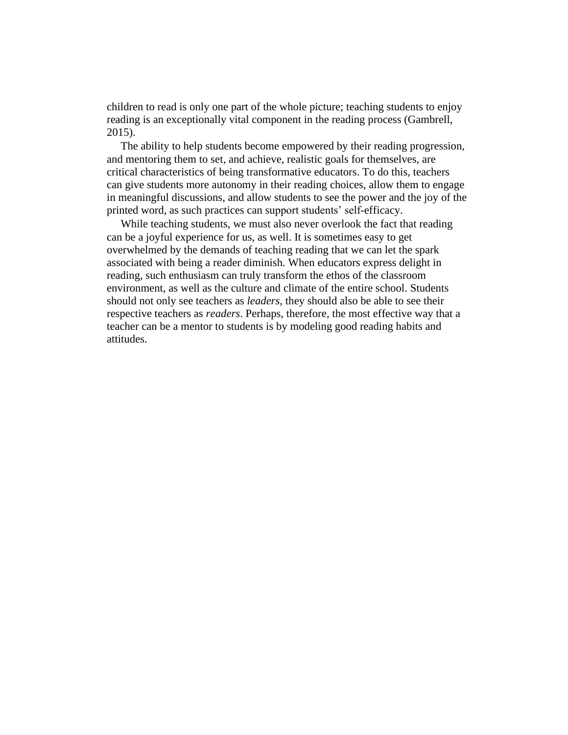children to read is only one part of the whole picture; teaching students to enjoy reading is an exceptionally vital component in the reading process (Gambrell, 2015).

 The ability to help students become empowered by their reading progression, and mentoring them to set, and achieve, realistic goals for themselves, are critical characteristics of being transformative educators. To do this, teachers can give students more autonomy in their reading choices, allow them to engage in meaningful discussions, and allow students to see the power and the joy of the printed word, as such practices can support students' self-efficacy.

 While teaching students, we must also never overlook the fact that reading can be a joyful experience for us, as well. It is sometimes easy to get overwhelmed by the demands of teaching reading that we can let the spark associated with being a reader diminish. When educators express delight in reading, such enthusiasm can truly transform the ethos of the classroom environment, as well as the culture and climate of the entire school. Students should not only see teachers as *leaders*, they should also be able to see their respective teachers as *readers*. Perhaps, therefore, the most effective way that a teacher can be a mentor to students is by modeling good reading habits and attitudes.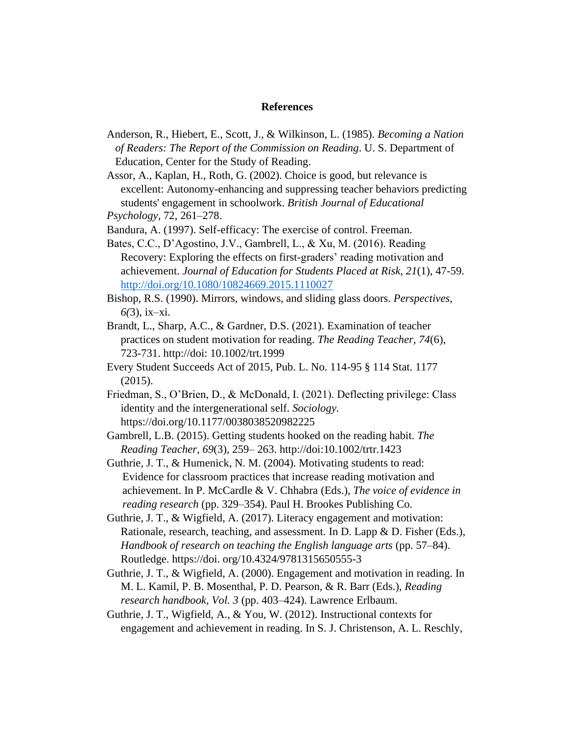#### **References**

- Anderson, R., Hiebert, E., Scott, J., & Wilkinson, L. (1985). *Becoming a Nation of Readers: The Report of the Commission on Reading*. U. S. Department of Education, Center for the Study of Reading.
- Assor, A., Kaplan, H., Roth, G. (2002). Choice is good, but relevance is excellent: Autonomy-enhancing and suppressing teacher behaviors predicting students' engagement in schoolwork. *British Journal of Educational Psychology,* 72, 261–278.

Bandura, A. (1997). Self-efficacy: The exercise of control. Freeman.

- Bates, C.C., D'Agostino, J.V., Gambrell, L., & Xu, M. (2016). Reading Recovery: Exploring the effects on first-graders' reading motivation and achievement. *Journal of Education for Students Placed at Risk, 21*(1), 47-59. <http://doi.org/10.1080/10824669.2015.1110027>
- Bishop, R.S. (1990). Mirrors, windows, and sliding glass doors. *Perspectives, 6(*3), ix–xi.
- Brandt, L., Sharp, A.C., & Gardner, D.S. (2021). Examination of teacher practices on student motivation for reading. *The Reading Teacher, 74*(6), 723-731. http://doi: 10.1002/trt.1999
- Every Student Succeeds Act of 2015, Pub. L. No. 114-95 § 114 Stat. 1177 (2015).
- Friedman, S., O'Brien, D., & McDonald, I. (2021). Deflecting privilege: Class identity and the intergenerational self. *Sociology.* https://doi.org/10.1177/0038038520982225
- Gambrell, L.B. (2015). Getting students hooked on the reading habit. *The Reading Teacher, 69*(3), 259– 263. http://doi[:10.1002/trtr.1423](https://doi.org/10.1002/trtr.1423)
- Guthrie, J. T., & Humenick, N. M. (2004). Motivating students to read: Evidence for classroom practices that increase reading motivation and achievement. In P. McCardle & V. Chhabra (Eds.), *The voice of evidence in reading research* (pp. 329–354). Paul H. Brookes Publishing Co.
- Guthrie, J. T., & Wigfield, A. (2017). Literacy engagement and motivation: Rationale, research, teaching, and assessment. In D. Lapp & D. Fisher (Eds.), *Handbook of research on teaching the English language arts* (pp. 57–84). Routledge. https://doi. org/10.4324/9781315650555-3
- Guthrie, J. T., & Wigfield, A. (2000). Engagement and motivation in reading. In M. L. Kamil, P. B. Mosenthal, P. D. Pearson, & R. Barr (Eds.), *Reading research handbook, Vol. 3* (pp. 403–424). Lawrence Erlbaum.
- Guthrie, J. T., Wigfield, A., & You, W. (2012). Instructional contexts for engagement and achievement in reading. In S. J. Christenson, A. L. Reschly,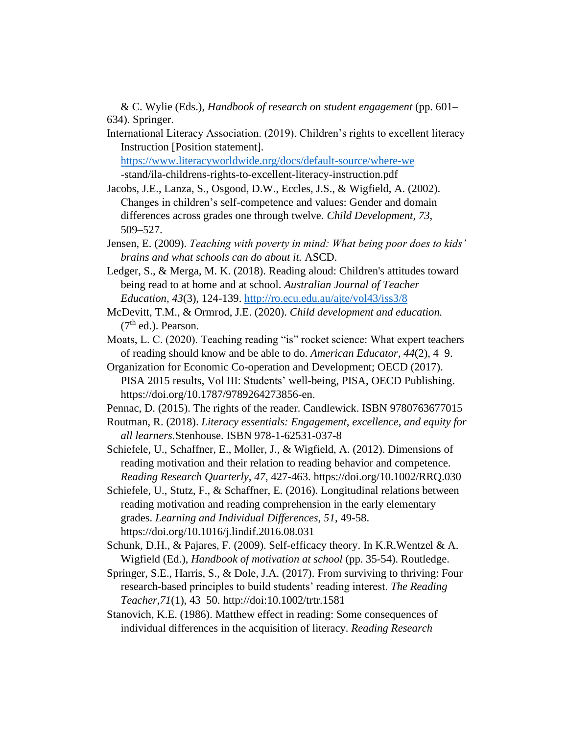& C. Wylie (Eds.), *Handbook of research on student engagement* (pp. 601– 634). Springer.

International Literacy Association. (2019). Children's rights to excellent literacy Instruction [Position statement].

 <https://www.literacyworldwide.org/docs/default-source/where-we> -stand/ila-childrens-rights-to-excellent-literacy-instruction.pdf

Jacobs, J.E., Lanza, S., Osgood, D.W., Eccles, J.S., & Wigfield, A. (2002). Changes in children's self-competence and values: Gender and domain differences across grades one through twelve. *Child Development, 73*, 509–527.

- Jensen, E. (2009). *Teaching with poverty in mind: What being poor does to kids' brains and what schools can do about it.* ASCD.
- Ledger, S., & Merga, M. K. (2018). Reading aloud: Children's attitudes toward being read to at home and at school. *Australian Journal of Teacher Education, 43*(3), 124-139.<http://ro.ecu.edu.au/ajte/vol43/iss3/8>
- McDevitt, T.M., & Ormrod, J.E. (2020). *Child development and education.*  $(7<sup>th</sup>$  ed.). Pearson.
- Moats, L. C. (2020). Teaching reading "is" rocket science: What expert teachers of reading should know and be able to do. *American Educator, 44*(2), 4–9.

Organization for Economic Co-operation and Development; OECD (2017). PISA 2015 results, Vol III: Students' well-being, PISA, OECD Publishing. [https://doi.org/10.1787/9789264273856-en.](https://doi.org/10.1787/9789264273856-en)

Pennac, D. (2015). The rights of the reader. Candlewick. ISBN 9780763677015

Routman, R. (2018). *Literacy essentials: Engagement, excellence, and equity for all learners.*Stenhouse. ISBN 978-1-62531-037-8

Schiefele, U., Schaffner, E., Moller, J., & Wigfield, A. (2012). Dimensions of reading motivation and their relation to reading behavior and competence. *Reading Research Quarterly, 47*, 427-463. https://doi.org/10.1002/RRQ.030

- Schiefele, U., Stutz, F., & Schaffner, E. (2016). Longitudinal relations between reading motivation and reading comprehension in the early elementary grades. *Learning and Individual Differences, 51*, 49-58. https://doi.org/10.1016/j.lindif.2016.08.031
- Schunk, D.H., & Pajares, F. (2009). Self-efficacy theory. In K.R.Wentzel & A. Wigfield (Ed.), *Handbook of motivation at school* (pp. 35-54). Routledge.
- Springer, S.E., Harris, S., & Dole, J.A. (2017). From surviving to thriving: Four research-based principles to build students' reading interest. *The Reading Teacher,71*(1), 43–50. http://doi:10.1002/trtr.1581
- Stanovich, K.E. (1986). Matthew effect in reading: Some consequences of individual differences in the acquisition of literacy. *Reading Research*